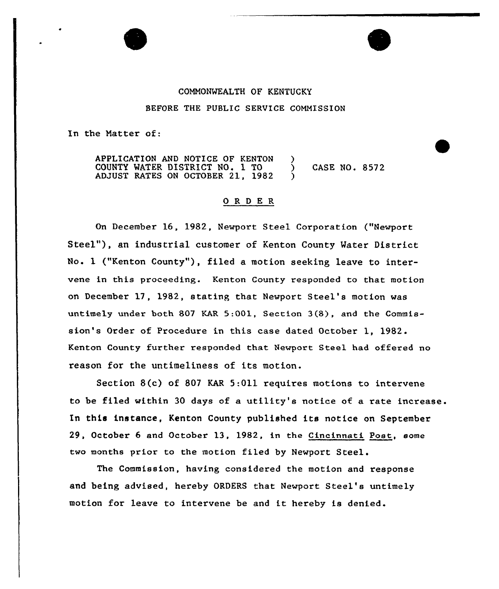## COMMONWEALTH OF KENTUCKY BEFORE THE PUBLIC SERVICE COMMISSION

In the Matter of:

APPLICATION AND NOTICE OF KENTON )<br>COUNTY WATER DISTRICT NO. 1 TO COUNTY WATER DISTRICT NO. 1 TO ) CASE NO. 8572 ADJUST RATES ON OCTOBER 21, 1982 )

## 0 R <sup>D</sup> E R

On December 16, 1982, Newport Steel Corporation ("Newport Steel"), an industrial customer of Kenton County Water District No. 1 ("Kenton County"), filed a motion seeking leave to intervene in this proceeding. Kenton County responded to that motion on December 17, 1982, stating that Newport Steel's motion was untimely under both 807 KAR 5:001, Section <sup>3</sup> (8}, and the Commission's Order of Procedure in this case dated October 1, 1982. Keaton County further responded that Newport Steel had offered no reason for the untimeliness of its motion.

Section 8(c} of 807 KAR 5:Oll requires motions to intervene to be filed within 30 days of a utility's notice ot a rate increase. In this instance, Kenton County published its notice on September 29, October 6 and October 13, 1982, in the Cincinnati Post, some two months prior to the motion filed by Newport Steel.

The Commission, having considered the motion and response and being advised, hereby ORDERS that Newport Steel's untimely motion for leave to intervene be and it hereby is denied.